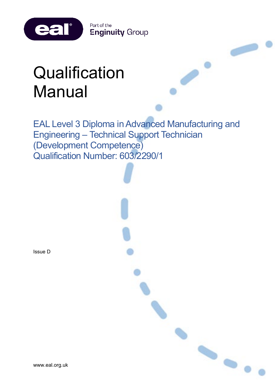

# **Qualification** Manual

eal®

EAL Level 3 Diploma in Advanced Manufacturing and Engineering – Technical Support Technician (Development Competence) Qualification Number: 603/2290/1

 $\bullet$ 

Issue D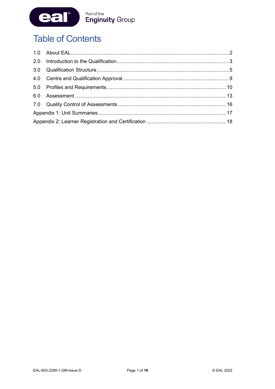

# **Table of Contents**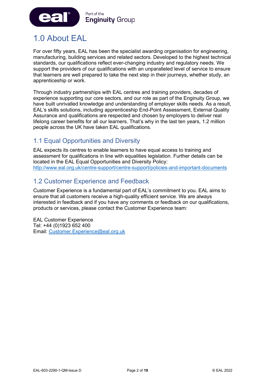

# <span id="page-2-0"></span>1.0 About EAL

For over fifty years, EAL has been the specialist awarding organisation for engineering, manufacturing, building services and related sectors. Developed to the highest technical standards, our qualifications reflect ever-changing industry and regulatory needs. We support the providers of our qualifications with an unparalleled level of service to ensure that learners are well prepared to take the next step in their journeys, whether study, an apprenticeship or work.

Through industry partnerships with EAL centres and training providers, decades of experience supporting our core sectors, and our role as part of the Enginuity Group, we have built unrivalled knowledge and understanding of employer skills needs. As a result, EAL's skills solutions, including apprenticeship End-Point Assessment, External Quality Assurance and qualifications are respected and chosen by employers to deliver real lifelong career benefits for all our learners. That's why in the last ten years, 1.2 million people across the UK have taken EAL qualifications.

# 1.1 Equal Opportunities and Diversity

EAL expects its centres to enable learners to have equal access to training and assessment for qualifications in line with equalities legislation. Further details can be located in the EAL Equal Opportunities and Diversity Policy: <http://www.eal.org.uk/centre-support/centre-support/policies-and-important-documents>

# 1.2 Customer Experience and Feedback

Customer Experience is a fundamental part of EAL's commitment to you. EAL aims to ensure that all customers receive a high-quality efficient service. We are always interested in feedback and if you have any comments or feedback on our qualifications, products or services, please contact the Customer Experience team:

EAL Customer Experience Tel: +44 (0)1923 652 400 Email: [Customer.Experience@eal.org.uk](mailto:EAL%20Customer%20Experience%20%3cCustomer.Experience@eal.org.uk%3e)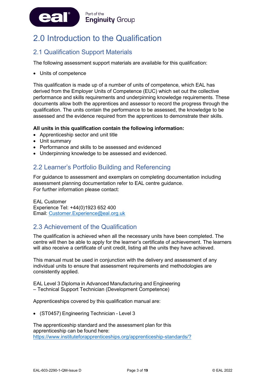

# <span id="page-3-0"></span>2.0 Introduction to the Qualification

# 2.1 Qualification Support Materials

The following assessment support materials are available for this qualification:

• Units of competence

This qualification is made up of a number of units of competence, which EAL has derived from the Employer Units of Competence (EUC) which set out the collective performance and skills requirements and underpinning knowledge requirements. These documents allow both the apprentices and assessor to record the progress through the qualification. The units contain the performance to be assessed, the knowledge to be assessed and the evidence required from the apprentices to demonstrate their skills.

#### **All units in this qualification contain the following information:**

- Apprenticeship sector and unit title
- Unit summary
- Performance and skills to be assessed and evidenced
- Underpinning knowledge to be assessed and evidenced.

### 2.2 Learner's Portfolio Building and Referencing

For guidance to assessment and exemplars on completing documentation including assessment planning documentation refer to EAL centre guidance. For further information please contact:

EAL Customer Experience Tel: +44(0)1923 652 400 Email: [Customer.Experience@eal.org.uk](mailto:Customer.Experience@eal.org.uk)

### 2.3 Achievement of the Qualification

The qualification is achieved when all the necessary units have been completed. The centre will then be able to apply for the learner's certificate of achievement. The learners will also receive a certificate of unit credit, listing all the units they have achieved.

This manual must be used in conjunction with the delivery and assessment of any individual units to ensure that assessment requirements and methodologies are consistently applied.

EAL Level 3 Diploma in Advanced Manufacturing and Engineering – Technical Support Technician (Development Competence)

Apprenticeships covered by this qualification manual are:

• (ST0457) Engineering Technician - Level 3

The apprenticeship standard and the assessment plan for this apprenticeship can be found here: <https://www.instituteforapprenticeships.org/apprenticeship-standards/?>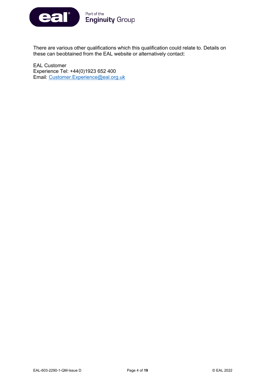

There are various other qualifications which this qualification could relate to. Details on these can beobtained from the EAL website or alternatively contact:

EAL Customer Experience Tel: +44(0)1923 652 400 Email: [Customer.Experience@eal.org.uk](mailto:Customer.Experience@eal.org.uk)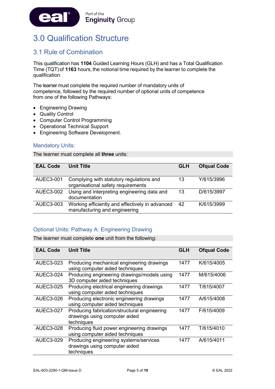

# <span id="page-5-0"></span>3.0 Qualification Structure

# 3.1 Rule of Combination

This qualification has **1104** Guided Learning Hours (GLH) and has a Total Qualification Time (TQT) of **1163** hours, the notional time required by the learner to complete the qualification.

The learner must complete the required number of mandatory units of competence, followed by the required number of optional units of competence from one of the following Pathways:

- Engineering Drawing
- Quality Control
- Computer Control Programming
- Operational Technical Support
- Engineering Software Development.

#### Mandatory Units:

The learner must complete all **three** units:

| <b>EAL Code</b>  | <b>Unit Title</b>                                                                | <b>GLH</b> | <b>Ofqual Code</b> |
|------------------|----------------------------------------------------------------------------------|------------|--------------------|
| <b>AUEC3-001</b> | Complying with statutory regulations and<br>organisational safety requirements   | 13         | Y/615/3996         |
| <b>AUEC3-002</b> | Using and interpreting engineering data and<br>documentation                     | 13         | D/615/3997         |
| AUEC3-003        | Working efficiently and effectively in advanced<br>manufacturing and engineering | 42         | K/615/3999         |

#### Optional Units: Pathway A: Engineering Drawing

The learner must complete **one** unit from the following:

| <b>EAL Code</b>  | <b>Unit Title</b>                                                                           | GLH  | <b>Ofqual Code</b> |
|------------------|---------------------------------------------------------------------------------------------|------|--------------------|
| <b>AUEC3-023</b> | Producing mechanical engineering drawings<br>using computer aided techniques                | 1477 | K/615/4005         |
| <b>AUEC3-024</b> | Producing engineering drawings/models using<br>3D computer aided techniques                 | 1477 | M/615/4006         |
| <b>AUEC3-025</b> | Producing electrical engineering drawings<br>using computer aided techniques                | 1477 | T/615/4007         |
| <b>AUEC3-026</b> | Producing electronic engineering drawings<br>using computer aided techniques                | 1477 | A/615/4008         |
| <b>AUEC3-027</b> | Producing fabrication/structural engineering<br>drawings using computer aided<br>techniques | 1477 | F/615/4009         |
| <b>AUEC3-028</b> | Producing fluid power engineering drawings<br>using computer aided techniques               | 1477 | T/615/4010         |
| <b>AUEC3-029</b> | Producing engineering systems/services<br>drawings using computer aided<br>techniques       | 1477 | A/615/4011         |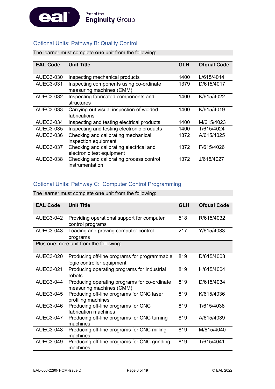

### Optional Units: Pathway B: Quality Control

The learner must complete **one** unit from the following:

| <b>EAL Code</b> | <b>Unit Title</b>                          | <b>GLH</b> | <b>Ofqual Code</b> |
|-----------------|--------------------------------------------|------------|--------------------|
|                 |                                            |            |                    |
| AUEC3-030       | Inspecting mechanical products             | 1400       | L/615/4014         |
| AUEC3-031       | Inspecting components using co-ordinate    | 1379       | D/615/4017         |
|                 | measuring machines (CMM)                   |            |                    |
| AUEC3-032       | Inspecting fabricated components and       | 1400       | K/615/4022         |
|                 | structures                                 |            |                    |
| AUEC3-033       | Carrying out visual inspection of welded   | 1400       | K/615/4019         |
|                 | fabrications                               |            |                    |
| AUEC3-034       | Inspecting and testing electrical products | 1400       | M/615/4023         |
| AUEC3-035       | Inspecting and testing electronic products | 1400       | T/615/4024         |
| AUEC3-036       | Checking and calibrating mechanical        | 1372       | A/615/4025         |
|                 | inspection equipment                       |            |                    |
| AUEC3-037       | Checking and calibrating electrical and    | 1372       | F/615/4026         |
|                 | electronic test equipment                  |            |                    |
| AUEC3-038       | Checking and calibrating process control   | 1372       | J/615/4027         |
|                 | instrumentation                            |            |                    |

#### Optional Units: Pathway C: Computer Control Programming

The learner must complete **one** unit from the following:

| <b>EAL Code</b>  | <b>Unit Title</b>                                                          | <b>GLH</b> | <b>Ofqual Code</b> |
|------------------|----------------------------------------------------------------------------|------------|--------------------|
| <b>AUEC3-042</b> | Providing operational support for computer<br>control programs             | 518        | R/615/4032         |
| <b>AUEC3-043</b> | Loading and proving computer control<br>programs                           | 217        | Y/615/4033         |
|                  | Plus one more unit from the following:                                     |            |                    |
| <b>AUEC3-020</b> | Producing off-line programs for programmable<br>logic controller equipment | 819        | D/615/4003         |
| AUEC3-021        | Producing operating programs for industrial<br>robots                      | 819        | H/615/4004         |
| <b>AUEC3-044</b> | Producing operating programs for co-ordinate<br>measuring machines (CMM)   | 819        | D/615/4034         |
| <b>AUEC3-045</b> | Producing off-line programs for CNC laser<br>profiling machines            | 819        | K/615/4036         |
| <b>AUEC3-046</b> | Producing off-line programs for CNC<br>fabrication machines                | 819        | T/615/4038         |
| <b>AUEC3-047</b> | Producing off-line programs for CNC turning<br>machines                    | 819        | A/615/4039         |
| <b>AUEC3-048</b> | Producing off-line programs for CNC milling<br>machines                    | 819        | M/615/4040         |
| <b>AUEC3-049</b> | Producing off-line programs for CNC grinding<br>machines                   | 819        | T/615/4041         |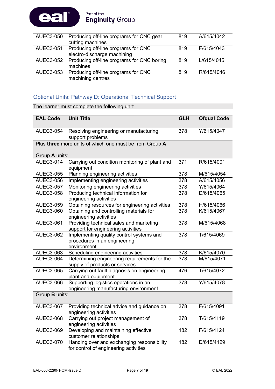

| AUEC3-050        | Producing off-line programs for CNC gear             | 819 | A/615/4042 |
|------------------|------------------------------------------------------|-----|------------|
|                  | cutting machines                                     |     |            |
| <b>AUEC3-051</b> | Producing off-line programs for CNC                  | 819 | F/615/4043 |
|                  | electro-discharge machining                          |     |            |
|                  | AUEC3-052 Producing off-line programs for CNC boring | 819 | L/615/4045 |
|                  | machines                                             |     |            |
|                  | AUEC3-053 Producing off-line programs for CNC        | 819 | R/615/4046 |
|                  | machining centres                                    |     |            |

### Optional Units: Pathway D: Operational Technical Support

The learner must complete the following unit:

| <b>EAL Code</b>       | <b>Unit Title</b>                                                                       | <b>GLH</b> | <b>Ofqual Code</b> |
|-----------------------|-----------------------------------------------------------------------------------------|------------|--------------------|
| <b>AUEC3-054</b>      | Resolving engineering or manufacturing<br>support problems                              | 378        | Y/615/4047         |
|                       | Plus three more units of which one must be from Group A                                 |            |                    |
| Group A units:        |                                                                                         |            |                    |
| <b>AUEC3-014</b>      | Carrying out condition monitoring of plant and<br>equipment                             | 371        | R/615/4001         |
| <b>AUEC3-055</b>      | Planning engineering activities                                                         | 378        | M/615/4054         |
| <b>AUEC3-056</b>      | Implementing engineering activities                                                     | 378        | A/615/4056         |
| <b>AUEC3-057</b>      | Monitoring engineering activities                                                       | 378        | Y/615/4064         |
| <b>AUEC3-058</b>      | Producing technical information for<br>engineering activities                           | 378        | D/615/4065         |
| <b>AUEC3-059</b>      | Obtaining resources for engineering activities                                          | 378        | H/615/4066         |
| <b>AUEC3-060</b>      | Obtaining and controlling materials for<br>engineering activities                       | 378        | K/615/4067         |
| <b>AUEC3-061</b>      | Providing technical sales and marketing<br>support for engineering activities           | 378        | M/615/4068         |
| <b>AUEC3-062</b>      | Implementing quality control systems and<br>procedures in an engineering<br>environment | 378        | T/615/4069         |
| AUEC3-063             | Scheduling engineering activities                                                       | 378        | K/615/4070         |
| <b>AUEC3-064</b>      | Determining engineering requirements for the<br>supply of products or services          | 378        | M/615/4071         |
| <b>AUEC3-065</b>      | Carrying out fault diagnosis on engineering<br>plant and equipment                      | 476        | T/615/4072         |
| <b>AUEC3-066</b>      | Supporting logistics operations in an<br>engineering manufacturing environment          | 378        | Y/615/4078         |
| Group <b>B</b> units: |                                                                                         |            |                    |
| <b>AUEC3-067</b>      | Providing technical advice and guidance on<br>engineering activities                    | 378        | F/615/4091         |
| <b>AUEC3-068</b>      | Carrying out project management of<br>engineering activities                            | 378        | T/615/4119         |
| <b>AUEC3-069</b>      | Developing and maintaining effective<br>customer relationships                          | 182        | F/615/4124         |
| <b>AUEC3-070</b>      | Handing over and exchanging responsibility<br>for control of engineering activities     | 182        | D/615/4129         |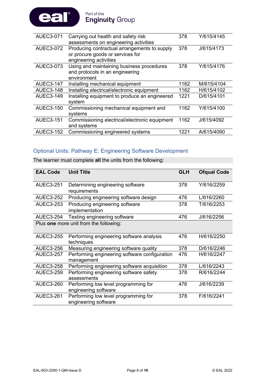

| <b>AUEC3-071</b> | Carrying out health and safety risk           | 378  | Y/615/4145 |
|------------------|-----------------------------------------------|------|------------|
|                  | assessments on engineering activities         |      |            |
| <b>AUEC3-072</b> | Producing contractual arrangements to supply  | 378  | J/615/4173 |
|                  | or procure goods or services for              |      |            |
|                  | engineering activities                        |      |            |
| <b>AUEC3-073</b> | Using and maintaining business procedures     | 378  | Y/615/4176 |
|                  | and protocols in an engineering               |      |            |
|                  | environment                                   |      |            |
| <b>AUEC3-147</b> | Installing mechanical equipment               | 1162 | M/615/4104 |
| <b>AUEC3-148</b> | Installing electrical/electronic equipment    | 1162 | H/615/4102 |
| <b>AUEC3-149</b> | Installing equipment to produce an engineered | 1221 | D/615/4101 |
|                  | system                                        |      |            |
| <b>AUEC3-150</b> | Commissioning mechanical equipment and        | 1162 | Y/615/4100 |
|                  | systems                                       |      |            |
| <b>AUEC3-151</b> | Commissioning electrical/electronic equipment | 1162 | J/615/4092 |
|                  | and systems                                   |      |            |
| <b>AUEC3-152</b> | Commissioning engineered systems              | 1221 | A/615/4090 |
|                  |                                               |      |            |

### Optional Units: Pathway E: Engineering Software Development

The learner must complete **all** the units from the following:

| <b>EAL Code</b>  | <b>Unit Title</b>                                            | <b>GLH</b> | <b>Ofqual Code</b> |
|------------------|--------------------------------------------------------------|------------|--------------------|
| <b>AUEC3-251</b> | Determining engineering software<br>requirements             | 378        | Y/616/2259         |
| <b>AUEC3-252</b> | Producing engineering software design                        | 476        | L/616/2260         |
| <b>AUEC3-253</b> | Producing engineering software<br>implementation             | 378        | T/616/2253         |
| <b>AUEC3-254</b> | Testing engineering software                                 | 476        | J/616/2256         |
|                  | Plus one more unit from the following:                       |            |                    |
| <b>AUEC3-255</b> | Performing engineering software analysis<br>techniques       | 476        | H/616/2250         |
| <b>AUEC3-256</b> | Measuring engineering software quality                       | 378        | D/616/2246         |
| <b>AUEC3-257</b> | Performing engineering software configuration<br>management  | 476        | H/616/2247         |
| <b>AUEC3-258</b> | Performing engineering software acquisition                  | 378        | L/616/2243         |
| <b>AUEC3-259</b> | Performing engineering software safety<br>assessments        | 378        | R/616/2244         |
| <b>AUEC3-260</b> | Performing low level programming for<br>engineering software | 476        | J/616/2239         |
| <b>AUEC3-261</b> | Performing low level programming for<br>engineering software | 378        | F/616/2241         |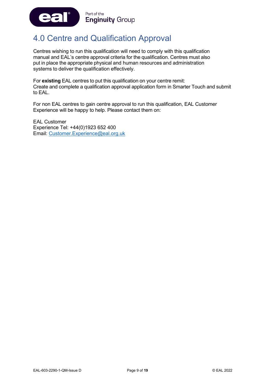

# <span id="page-9-0"></span>4.0 Centre and Qualification Approval

Centres wishing to run this qualification will need to comply with this qualification manual and EAL's centre approval criteria for the qualification. Centres must also put in place the appropriate physical and human resources and administration systems to deliver the qualification effectively.

For **existing** EAL centres to put this qualification on your centre remit: Create and complete a qualification approval application form in Smarter Touch and submit to EAL.

For non EAL centres to gain centre approval to run this qualification, EAL Customer Experience will be happy to help. Please contact them on:

EAL Customer Experience Tel: +44(0)1923 652 400 Email: [Customer.Experience@eal.org.uk](mailto:Customer.Experience@eal.org.uk)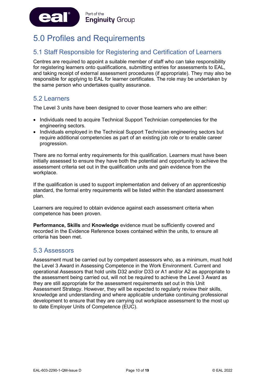

# <span id="page-10-0"></span>5.0 Profiles and Requirements

# 5.1 Staff Responsible for Registering and Certification of Learners

Centres are required to appoint a suitable member of staff who can take responsibility for registering learners onto qualifications, submitting entries for assessments to EAL, and taking receipt of external assessment procedures (if appropriate). They may also be responsible for applying to EAL for learner certificates. The role may be undertaken by the same person who undertakes quality assurance.

### 5.2 Learners

The Level 3 units have been designed to cover those learners who are either:

- Individuals need to acquire Technical Support Technician competencies for the engineering sectors.
- Individuals employed in the Technical Support Technician engineering sectors but require additional competencies as part of an existing job role or to enable career progression.

There are no formal entry requirements for this qualification. Learners must have been initially assessed to ensure they have both the potential and opportunity to achieve the assessment criteria set out in the qualification units and gain evidence from the workplace.

If the qualification is used to support implementation and delivery of an apprenticeship standard, the formal entry requirements will be listed within the standard assessment plan.

Learners are required to obtain evidence against each assessment criteria when competence has been proven.

**Performance, Skills** and **Knowledge** evidence must be sufficiently covered and recorded in the Evidence Reference boxes contained within the units, to ensure all criteria has been met.

### 5.3 Assessors

Assessment must be carried out by competent assessors who, as a minimum, must hold the Level 3 Award in Assessing Competence in the Work Environment. Current and operational Assessors that hold units D32 and/or D33 or A1 and/or A2 as appropriate to the assessment being carried out, will not be required to achieve the Level 3 Award as they are still appropriate for the assessment requirements set out in this Unit Assessment Strategy. However, they will be expected to regularly review their skills, knowledge and understanding and where applicable undertake continuing professional development to ensure that they are carrying out workplace assessment to the most up to date Employer Units of Competence (EUC).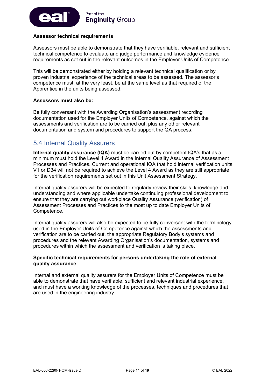

#### **Assessor technical requirements**

Assessors must be able to demonstrate that they have verifiable, relevant and sufficient technical competence to evaluate and judge performance and knowledge evidence requirements as set out in the relevant outcomes in the Employer Units of Competence.

This will be demonstrated either by holding a relevant technical qualification or by proven industrial experience of the technical areas to be assessed. The assessor's competence must, at the very least, be at the same level as that required of the Apprentice in the units being assessed.

#### **Assessors must also be:**

Be fully conversant with the Awarding Organisation's assessment recording documentation used for the Employer Units of Competence, against which the assessments and verification are to be carried out, plus any other relevant documentation and system and procedures to support the QA process.

### 5.4 Internal Quality Assurers

**Internal quality assurance (IQA)** must be carried out by competent IQA's that as a minimum must hold the Level 4 Award in the Internal Quality Assurance of Assessment Processes and Practices. Current and operational IQA that hold internal verification units V1 or D34 will not be required to achieve the Level 4 Award as they are still appropriate for the verification requirements set out in this Unit Assessment Strategy.

Internal quality assurers will be expected to regularly review their skills, knowledge and understanding and where applicable undertake continuing professional development to ensure that they are carrying out workplace Quality Assurance (verification) of Assessment Processes and Practices to the most up to date Employer Units of Competence.

Internal quality assurers will also be expected to be fully conversant with the terminology used in the Employer Units of Competence against which the assessments and verification are to be carried out, the appropriate Regulatory Body's systems and procedures and the relevant Awarding Organisation's documentation, systems and procedures within which the assessment and verification is taking place.

#### **Specific technical requirements for persons undertaking the role of external quality assurance**

Internal and external quality assurers for the Employer Units of Competence must be able to demonstrate that have verifiable, sufficient and relevant industrial experience, and must have a working knowledge of the processes, techniques and procedures that are used in the engineering industry.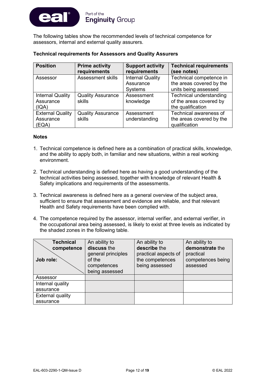

The following tables show the recommended levels of technical competence for assessors, internal and external quality assurers.

| <b>Position</b>                               | <b>Prime activity</b><br>requirements | <b>Support activity</b><br>requirements                | <b>Technical requirements</b><br>(see notes)                                   |
|-----------------------------------------------|---------------------------------------|--------------------------------------------------------|--------------------------------------------------------------------------------|
| Assessor                                      | <b>Assessment skills</b>              | <b>Internal Quality</b><br>Assurance<br><b>Systems</b> | Technical competence in<br>the areas covered by the<br>units being assessed    |
| <b>Internal Quality</b><br>Assurance<br>(IQA) | <b>Quality Assurance</b><br>skills    | Assessment<br>knowledge                                | <b>Technical understanding</b><br>of the areas covered by<br>the qualification |
| <b>External Quality</b><br>Assurance<br>(EQA) | <b>Quality Assurance</b><br>skills    | Assessment<br>understanding                            | Technical awareness of<br>the areas covered by the<br>qualification            |

#### **Notes**

- 1. Technical competence is defined here as a combination of practical skills, knowledge, and the ability to apply both, in familiar and new situations, within a real working environment.
- 2. Technical understanding is defined here as having a good understanding of the technical activities being assessed, together with knowledge of relevant Health & Safety implications and requirements of the assessments.
- 3. Technical awareness is defined here as a general overview of the subject area, sufficient to ensure that assessment and evidence are reliable, and that relevant Health and Safety requirements have been complied with.
- 4. The competence required by the assessor, internal verifier, and external verifier, in the occupational area being assessed, is likely to exist at three levels as indicated by the shaded zones in the following table.

| <b>Technical</b><br>competence<br>Job role: | An ability to<br>discuss the<br>general principles<br>of the<br>competences | An ability to<br>describe the<br>practical aspects of<br>the competences<br>being assessed | An ability to<br>demonstrate the<br>practical<br>competences being<br>assessed |
|---------------------------------------------|-----------------------------------------------------------------------------|--------------------------------------------------------------------------------------------|--------------------------------------------------------------------------------|
|                                             | being assessed                                                              |                                                                                            |                                                                                |
| Assessor                                    |                                                                             |                                                                                            |                                                                                |
| Internal quality                            |                                                                             |                                                                                            |                                                                                |
| assurance                                   |                                                                             |                                                                                            |                                                                                |
| <b>External quality</b>                     |                                                                             |                                                                                            |                                                                                |
| assurance                                   |                                                                             |                                                                                            |                                                                                |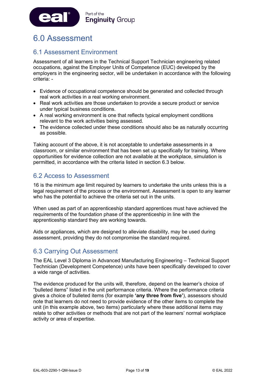

# <span id="page-13-0"></span>6.0 Assessment

# 6.1 Assessment Environment

Assessment of all learners in the Technical Support Technician engineering related occupations, against the Employer Units of Competence (EUC) developed by the employers in the engineering sector, will be undertaken in accordance with the following criteria: -

- Evidence of occupational competence should be generated and collected through real work activities in a real working environment.
- Real work activities are those undertaken to provide a secure product or service under typical business conditions.
- A real working environment is one that reflects typical employment conditions relevant to the work activities being assessed.
- The evidence collected under these conditions should also be as naturally occurring as possible.

Taking account of the above, it is not acceptable to undertake assessments in a classroom, or similar environment that has been set up specifically for training. Where opportunities for evidence collection are not available at the workplace, simulation is permitted, in accordance with the criteria listed in section 6.3 below.

# 6.2 Access to Assessment

16 is the minimum age limit required by learners to undertake the units unless this is a legal requirement of the process or the environment. Assessment is open to any learner who has the potential to achieve the criteria set out in the units.

When used as part of an apprenticeship standard apprentices must have achieved the requirements of the foundation phase of the apprenticeship in line with the apprenticeship standard they are working towards.

Aids or appliances, which are designed to alleviate disability, may be used during assessment, providing they do not compromise the standard required.

### 6.3 Carrying Out Assessment

The EAL Level 3 Diploma in Advanced Manufacturing Engineering – Technical Support Technician (Development Competence) units have been specifically developed to cover a wide range of activities.

The evidence produced for the units will, therefore, depend on the learner's choice of "bulleted items" listed in the unit performance criteria. Where the performance criteria gives a choice of bulleted items (for example **'any three from five'**), assessors should note that learners do not need to provide evidence of the other items to complete the unit (in this example above, two items) particularly where these additional items may relate to other activities or methods that are not part of the learners' normal workplace activity or area of expertise.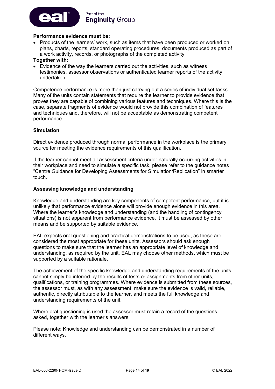

#### **Performance evidence must be:**

• Products of the learners' work, such as items that have been produced or worked on, plans, charts, reports, standard operating procedures, documents produced as part of a work activity, records, or photographs of the completed activity.

#### **Together with:**

• Evidence of the way the learners carried out the activities, such as witness testimonies, assessor observations or authenticated learner reports of the activity undertaken.

Competence performance is more than just carrying out a series of individual set tasks. Many of the units contain statements that require the learner to provide evidence that proves they are capable of combining various features and techniques. Where this is the case, separate fragments of evidence would not provide this combination of features and techniques and, therefore, will not be acceptable as demonstrating competent performance.

#### **Simulation**

Direct evidence produced through normal performance in the workplace is the primary source for meeting the evidence requirements of this qualification.

If the learner cannot meet all assessment criteria under naturally occurring activities in their workplace and need to simulate a specific task, please refer to the guidance notes "Centre Guidance for Developing Assessments for Simulation/Replication" in smarter touch.

#### **Assessing knowledge and understanding**

Knowledge and understanding are key components of competent performance, but it is unlikely that performance evidence alone will provide enough evidence in this area. Where the learner's knowledge and understanding (and the handling of contingency situations) is not apparent from performance evidence, it must be assessed by other means and be supported by suitable evidence.

EAL expects oral questioning and practical demonstrations to be used, as these are considered the most appropriate for these units. Assessors should ask enough questions to make sure that the learner has an appropriate level of knowledge and understanding, as required by the unit. EAL may choose other methods, which must be supported by a suitable rationale.

The achievement of the specific knowledge and understanding requirements of the units cannot simply be inferred by the results of tests or assignments from other units, qualifications, or training programmes. Where evidence is submitted from these sources, the assessor must, as with any assessment, make sure the evidence is valid, reliable, authentic, directly attributable to the learner, and meets the full knowledge and understanding requirements of the unit.

Where oral questioning is used the assessor must retain a record of the questions asked, together with the learner's answers.

Please note: Knowledge and understanding can be demonstrated in a number of different ways.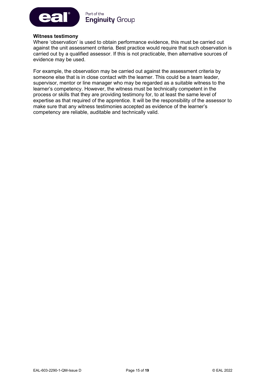

#### **Witness testimony**

Where 'observation' is used to obtain performance evidence, this must be carried out against the unit assessment criteria. Best practice would require that such observation is carried out by a qualified assessor. If this is not practicable, then alternative sources of evidence may be used.

For example, the observation may be carried out against the assessment criteria by someone else that is in close contact with the learner. This could be a team leader, supervisor, mentor or line manager who may be regarded as a suitable witness to the learner's competency. However, the witness must be technically competent in the process or skills that they are providing testimony for, to at least the same level of expertise as that required of the apprentice. It will be the responsibility of the assessor to make sure that any witness testimonies accepted as evidence of the learner's competency are reliable, auditable and technically valid.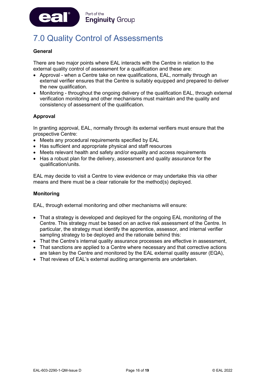

# <span id="page-16-0"></span>7.0 Quality Control of Assessments

#### **General**

There are two major points where EAL interacts with the Centre in relation to the external quality control of assessment for a qualification and these are:

- Approval when a Centre take on new qualifications, EAL, normally through an external verifier ensures that the Centre is suitably equipped and prepared to deliver the new qualification.
- Monitoring throughout the ongoing delivery of the qualification EAL, through external verification monitoring and other mechanisms must maintain and the quality and consistency of assessment of the qualification.

#### **Approval**

In granting approval, EAL, normally through its external verifiers must ensure that the prospective Centre:

- Meets any procedural requirements specified by EAL
- Has sufficient and appropriate physical and staff resources
- Meets relevant health and safety and/or equality and access requirements
- Has a robust plan for the delivery, assessment and quality assurance for the qualification/units.

EAL may decide to visit a Centre to view evidence or may undertake this via other means and there must be a clear rationale for the method(s) deployed.

#### **Monitoring**

EAL, through external monitoring and other mechanisms will ensure:

- That a strategy is developed and deployed for the ongoing EAL monitoring of the Centre. This strategy must be based on an active risk assessment of the Centre. In particular, the strategy must identify the apprentice, assessor, and internal verifier sampling strategy to be deployed and the rationale behind this:
- That the Centre's internal quality assurance processes are effective in assessment,
- That sanctions are applied to a Centre where necessary and that corrective actions are taken by the Centre and monitored by the EAL external quality assurer (EQA),
- That reviews of EAL's external auditing arrangements are undertaken.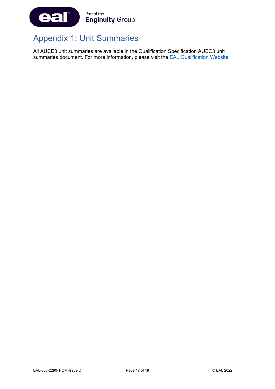

# <span id="page-17-0"></span>Appendix 1: Unit Summaries

All AUCE3 unit summaries are available in the Qualification Specification AUEC3 unit summaries document. For more information, please visit the **EAL Qualification Website**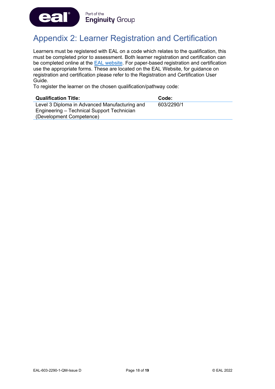

# <span id="page-18-0"></span>Appendix 2: Learner Registration and Certification

Learners must be registered with EAL on a code which relates to the qualification, this must be completed prior to assessment. Both learner registration and certification can be completed online at the [EAL website.](https://eal.org.uk/) For paper-based registration and certification use the appropriate forms. These are located on the EAL Website, for guidance on registration and certification please refer to the Registration and Certification User Guide.

To register the learner on the chosen qualification/pathway code:

| <b>Qualification Title:</b>                   | Code:      |
|-----------------------------------------------|------------|
| Level 3 Diploma in Advanced Manufacturing and | 603/2290/1 |
| Engineering – Technical Support Technician    |            |
| (Development Competence)                      |            |